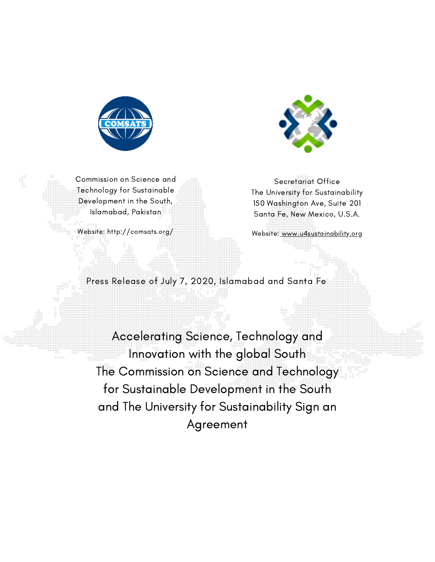



Commission on Science and Technology for Sustainable Development in the South, Islamabad, Pakistan

Website: http://comsats.org/

Secretariat Office The University for Sustainability 150 Washington Ave, Suite 201 Santa Fe, New Mexico, U.S.A.

Website: [www.u4sustainability.org](http://www.u4sustainability.org/)

Accelerating Science, Technology and Innovation with the global South Innovation with the global South<br>The Commission on Science and Technology for Sustainable Development in the South and The University for Sustainability Sign an for Sustainable Development in the Southand Universityfor Sustainability an Agreement Press Release of July 7, 2020, Islamabad and Santa Fe<br>Accelerating Science, Technology and<br>Innovation with the global South<br>The Commission on Science and Technolo<br>for Sustainable Development in the Soutl<br>and The University